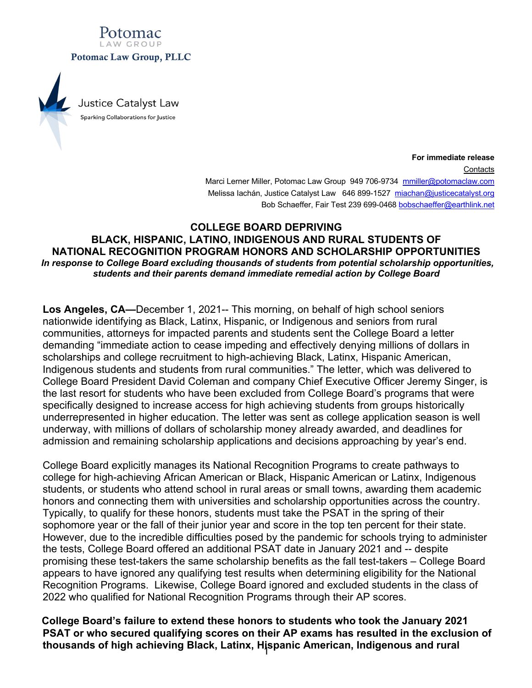

**For immediate release Contacts** Marci Lerner Miller, Potomac Law Group 949 706-9734 mmiller@potomaclaw.com Melissa Iachán, Justice Catalyst Law 646 899-1527 miachan@justicecatalyst.org Bob Schaeffer, Fair Test 239 699-0468 bobschaeffer@earthlink.net

## **COLLEGE BOARD DEPRIVING BLACK, HISPANIC, LATINO, INDIGENOUS AND RURAL STUDENTS OF NATIONAL RECOGNITION PROGRAM HONORS AND SCHOLARSHIP OPPORTUNITIES** *In response to College Board excluding thousands of students from potential scholarship opportunities, students and their parents demand immediate remedial action by College Board*

**Los Angeles, CA—**December 1, 2021-- This morning, on behalf of high school seniors nationwide identifying as Black, Latinx, Hispanic, or Indigenous and seniors from rural communities, attorneys for impacted parents and students sent the College Board a letter demanding "immediate action to cease impeding and effectively denying millions of dollars in scholarships and college recruitment to high-achieving Black, Latinx, Hispanic American, Indigenous students and students from rural communities." The letter, which was delivered to College Board President David Coleman and company Chief Executive Officer Jeremy Singer, is the last resort for students who have been excluded from College Board's programs that were specifically designed to increase access for high achieving students from groups historically underrepresented in higher education. The letter was sent as college application season is well underway, with millions of dollars of scholarship money already awarded, and deadlines for admission and remaining scholarship applications and decisions approaching by year's end.

College Board explicitly manages its National Recognition Programs to create pathways to college for high-achieving African American or Black, Hispanic American or Latinx, Indigenous students, or students who attend school in rural areas or small towns, awarding them academic honors and connecting them with universities and scholarship opportunities across the country. Typically, to qualify for these honors, students must take the PSAT in the spring of their sophomore year or the fall of their junior year and score in the top ten percent for their state. However, due to the incredible difficulties posed by the pandemic for schools trying to administer the tests, College Board offered an additional PSAT date in January 2021 and -- despite promising these test-takers the same scholarship benefits as the fall test-takers – College Board appears to have ignored any qualifying test results when determining eligibility for the National Recognition Programs. Likewise, College Board ignored and excluded students in the class of 2022 who qualified for National Recognition Programs through their AP scores.

1 **thousands of high achieving Black, Latinx, Hispanic American, Indigenous and rural College Board's failure to extend these honors to students who took the January 2021 PSAT or who secured qualifying scores on their AP exams has resulted in the exclusion of**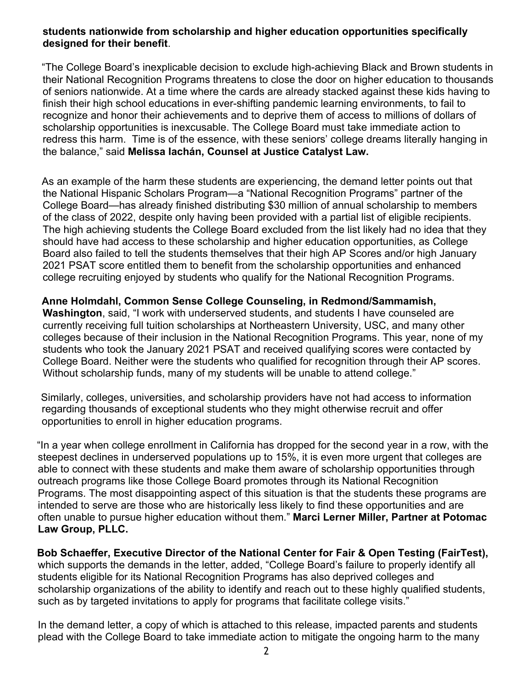## **students nationwide from scholarship and higher education opportunities specifically designed for their benefit**.

"The College Board's inexplicable decision to exclude high-achieving Black and Brown students in their National Recognition Programs threatens to close the door on higher education to thousands of seniors nationwide. At a time where the cards are already stacked against these kids having to finish their high school educations in ever-shifting pandemic learning environments, to fail to recognize and honor their achievements and to deprive them of access to millions of dollars of scholarship opportunities is inexcusable. The College Board must take immediate action to redress this harm. Time is of the essence, with these seniors' college dreams literally hanging in the balance," said **Melissa Iachán, Counsel at Justice Catalyst Law.**

As an example of the harm these students are experiencing, the demand letter points out that the National Hispanic Scholars Program—a "National Recognition Programs" partner of the College Board—has already finished distributing \$30 million of annual scholarship to members of the class of 2022, despite only having been provided with a partial list of eligible recipients. The high achieving students the College Board excluded from the list likely had no idea that they should have had access to these scholarship and higher education opportunities, as College Board also failed to tell the students themselves that their high AP Scores and/or high January 2021 PSAT score entitled them to benefit from the scholarship opportunities and enhanced college recruiting enjoyed by students who qualify for the National Recognition Programs.

## **Anne Holmdahl, Common Sense College Counseling, in Redmond/Sammamish,**

**Washington**, said, "I work with underserved students, and students I have counseled are currently receiving full tuition scholarships at Northeastern University, USC, and many other colleges because of their inclusion in the National Recognition Programs. This year, none of my students who took the January 2021 PSAT and received qualifying scores were contacted by College Board. Neither were the students who qualified for recognition through their AP scores. Without scholarship funds, many of my students will be unable to attend college."

Similarly, colleges, universities, and scholarship providers have not had access to information regarding thousands of exceptional students who they might otherwise recruit and offer opportunities to enroll in higher education programs.

"In a year when college enrollment in California has dropped for the second year in a row, with the steepest declines in underserved populations up to 15%, it is even more urgent that colleges are able to connect with these students and make them aware of scholarship opportunities through outreach programs like those College Board promotes through its National Recognition Programs. The most disappointing aspect of this situation is that the students these programs are intended to serve are those who are historically less likely to find these opportunities and are often unable to pursue higher education without them." **Marci Lerner Miller, Partner at Potomac Law Group, PLLC.**

**Bob Schaeffer, Executive Director of the National Center for Fair & Open Testing (FairTest),**  which supports the demands in the letter, added, "College Board's failure to properly identify all students eligible for its National Recognition Programs has also deprived colleges and scholarship organizations of the ability to identify and reach out to these highly qualified students, such as by targeted invitations to apply for programs that facilitate college visits."

In the demand letter, a copy of which is attached to this release, impacted parents and students plead with the College Board to take immediate action to mitigate the ongoing harm to the many